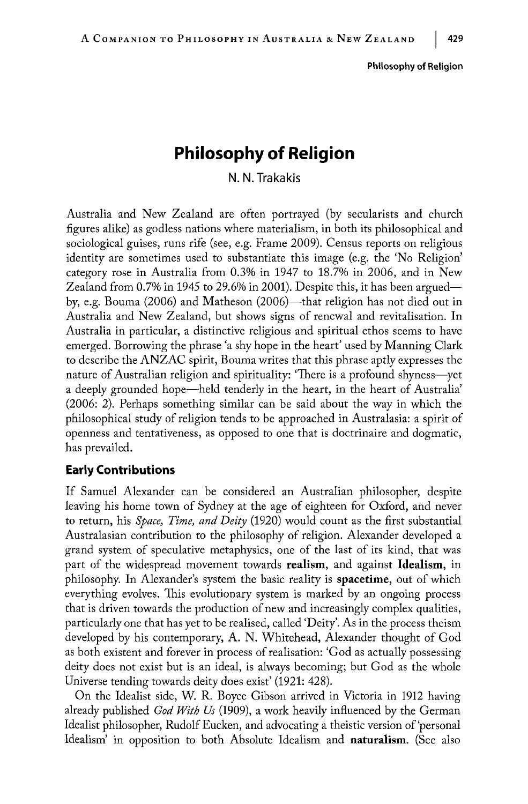# **Philosophy of Religion**

**N. N. Trakakis** 

Australia and New Zealand are often portrayed (by secularists and church figures alike) as godless nations where materialism, in both its philosophical and sociological guises, runs rife (see, e.g. Frame 2009). Census reports on religious identity are sometimes used to substantiate this image (e.g. the 'No Religion' category rose in Australia from 0.3% in 1947 to 18.7% in 2006, and in New Zealand from 0.7% in 1945 to 29.6% in 2001). Despite this, it has been argued by, e.g. Bouma (2006) and Matheson (2006)—that religion has not died out in Australia and New Zealand, but shows signs of renewal and revitalisation. In Australia in particular, a distinctive religious and spiritual ethos seems to have emerged. Borrowing the phrase 'a shy hope in the heart' used by Manning Clark to describe the ANZAC spirit, Bouma writes that this phrase aptly expresses the nature of Australian religion and spirituality: 'There is a profound shyness--yet a deeply grounded hope-held tenderly in the heart, in the heart of Australia' (2006: 2). Perhaps something similar can be said about the way in which the philosophical study of religion tends to be approached in Australasia: a spirit of openness and tentativeness, as opposed to one that is doctrinaire and dogmatic, has prevailed.

### **Early Contributions**

If Samuel Alexander can be considered an Australian philosopher, despite leaving his home town of Sydney at the age of eighteen for Oxford, and never to return, his *Space, Time, and Deity* (1920) would count as the first substantial Australasian contribution to the philosophy of religion. Alexander developed a grand system of speculative metaphysics, one of the last of its kind, that was part of the widespread movement towards **realism,** and against **Idealism,** in philosophy. In Alexander's system the basic reality is **spacetime,** out of which everything evolves. This evolutionary system is marked by an ongoing process that is driven towards the production of new and increasingly complex qualities, particularly one that has yet to be realised, called 'Deity'. As in the process theism developed by his contemporary, A. N. Whitehead, Alexander thought of God as both existent and forever in process of realisation: 'God as actually possessing deity does not exist but is an ideal, is always becoming; but God as the whole Universe tending towards deity does exist' (1921: 428).

On the Idealist side, W. R. Boyce Gibson arrived in Victoria in 1912 having already published *God With Us* (1909), a work heavily influenced by the German Idealist philosopher, Rudolf Eucken, and advocating a theistic version of 'personal Idealism' in opposition to both Absolute Idealism and **naturalism.** (See also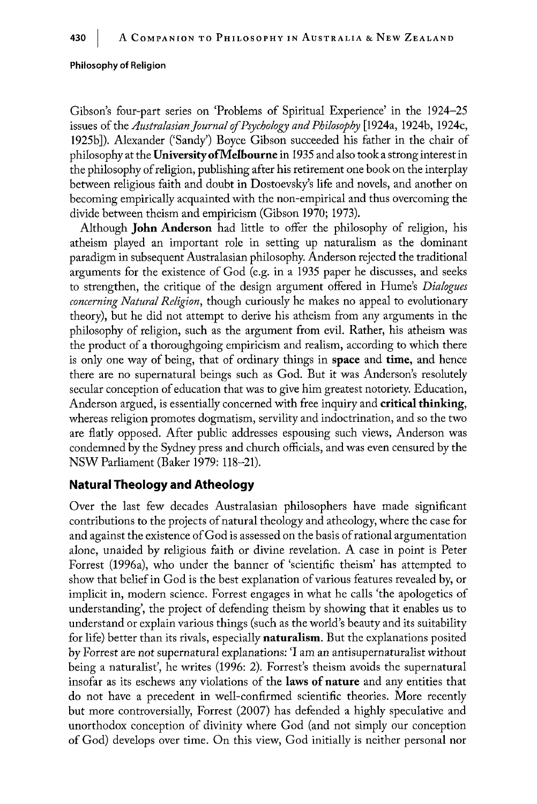Gibson's four-part series on 'Problems of Spiritual Experience' in the 1924-25 issues of the *Australasian journal* of *Psychology and Philosophy* [1924a, 1924b, 1924c, 1925b]). Alexander ('Sandy') Boyce Gibson succeeded his father in the chair of philosophy at the **University ofMelbourne** in 1935 and also took a strong interest in the philosophy of religion, publishing after his retirement one book on the interplay between religious faith and doubt in Dostoevsky's life and novels, and another on becoming empirically acquainted with the non-empirical and thus overcoming the divide between theism and empiricism (Gibson 1970; 1973).

Although **John Anderson** had little to offer the philosophy of religion, his atheism played an important role in setting up naturalism as the dominant paradigm in subsequent Australasian philosophy. Anderson rejected the traditional arguments for the existence of God (e.g. in a 1935 paper he discusses, and seeks to strengthen, the critique of the design argument offered in Hume's *Dialogues concerning Natural Religion,* though curiously he makes no appeal to evolutionary theory), but he did not attempt to derive his atheism from any arguments in the philosophy of religion, such as the argument from evil. Rather, his atheism was the product of a thoroughgoing empiricism and realism, according to which there is only one way of being, that of ordinary things in **space** and **time,** and hence there are no supernatural beings such as God. But it was Anderson's resolutely secular conception of education that was to give him greatest notoriety. Education, Anderson argued, is essentially concerned with free inquiry and **critical thinking,**  whereas religion promotes dogmatism, servility and indoctrination, and so the two are flatly opposed. After public addresses espousing such views, Anderson was condemned by the Sydney press and church officials, and was even censured by the NSW Parliament (Baker 1979: 118-21).

## **Natural Theology and Atheology**

Over the last few decades Australasian philosophers have made significant contributions to the projects of natural theology and atheology, where the case for and against the existence of God is assessed on the basis of rational argumentation alone, unaided by religious faith or divine revelation. A case in point is Peter Forrest (1996a), who under the banner of 'scientific theism' has attempted to show that belief in God is the best explanation of various features revealed by, or implicit in, modern science. Forrest engages in what he calls 'the apologetics of understanding', the project of defending theism by showing that it enables us to understand or explain various things (such as the world's beauty and its suitability for life) better than its rivals, especially **naturalism.** But the explanations posited by Forrest are not supernatural explanations: 'I am an antisupernaturalist without being a naturalist', he writes (1996: 2). Forrest's theism avoids the supernatural insofar as its eschews any violations of the **laws of nature** and any entities that do not have a precedent in well-confirmed scientific theories. More recently but more controversially, Forrest (2007) has defended a highly speculative and unorthodox conception of divinity where God (and not simply our conception of God) develops over time. On this view, God initially is neither personal nor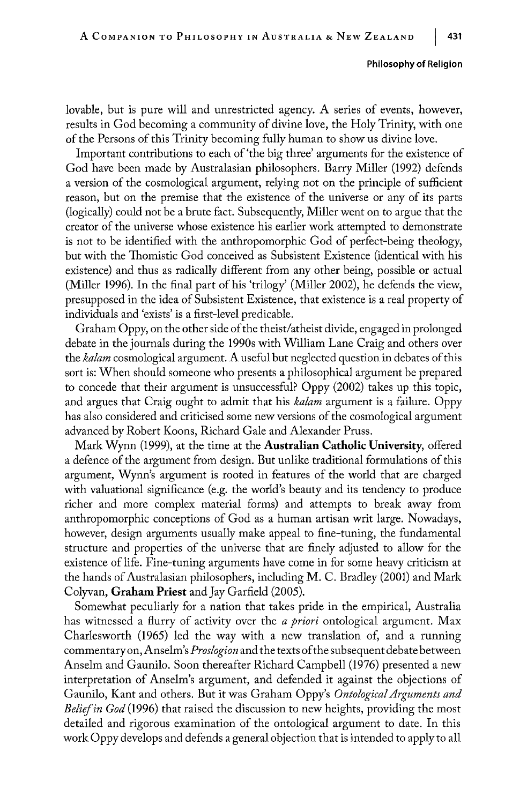lovable, but is pure will and unrestricted agency. A series of events, however, results in God becoming a community of divine love, the Holy Trinity, with one of the Persons of this Trinity becoming fully human to show us divine love.

Important contributions to each of'the big three' arguments for the existence of God have been made by Australasian philosophers. Barry Miller (1992) defends a version of the cosmological argument, relying not on the principle of sufficient reason, but on the premise that the existence of the universe or any of its parts (logically) could not be a brute fact. Subsequently, Miller went on to argue that the creator of the universe whose existence his earlier work attempted to demonstrate is not to be identified with the anthropomorphic God of perfect-being theology, but with the Thomistic God conceived as Subsistent Existence (identical with his existence) and thus as radically different from any other being, possible or actual (Miller 1996). In the final part of his 'trilogy' (Miller 2002), he defends the view, presupposed in the idea of Subsistent Existence, that existence is a real property of individuals and 'exists' is a first-level predicable.

Graham Oppy, on the other side of the theist/atheist divide, engaged in prolonged debate in the journals during the 1990s with William Lane Craig and others over the *kalam* cosmological argument. A useful but neglected question in debates of this sort is: When should someone who presents a philosophical argument be prepared to concede that their argument is unsuccessful? Oppy (2002) takes up this topic, and argues that Craig ought to admit that his *kalam* argument is a failure. Oppy has also considered and criticised some new versions of the cosmological argument advanced by Robert Koons, Richard Gale and Alexander Pruss.

Mark Wynn (1999), at the time at the **Australian Catholic University,** offered a defence of the argument from design. But unlike traditional formulations of this argument, Wynn's argument is rooted in features of the world that are charged with valuational significance (e.g. the world's beauty and its tendency to produce richer and more complex material forms) and attempts to break away from anthropomorphic conceptions of God as a human artisan writ large. Nowadays, however, design arguments usually make appeal to fine-tuning, the fundamental structure and properties of the universe that are finely adjusted to allow for the existence of life. Fine-tuning arguments have come in for some heavy criticism at the hands of Australasian philosophers, including M. C. Bradley (2001) and Mark Colyvan, **Graham Priest** and Jay Garfield (2005).

Somewhat peculiarly for a nation that takes pride in the empirical, Australia has witnessed a flurry of activity over the *a priori* ontological argument. Max Charlesworth (1965) led the way with a new translation of, and a running commentary on, Anselm's *Proslogion* and the texts of the subsequent debate between Anselm and Gaunilo. Soon thereafter Richard Campbell (1976) presented a new interpretation of Anselm's argument, and defended it against the objections of Gaunilo, Kant and others. But it was Graham Oppy's *Ontological Arguments and Belief in God* (1996) that raised the discussion to new heights, providing the most detailed and rigorous examination of the ontological argument to date. In this work Oppy develops and defends a general objection that is intended to apply to all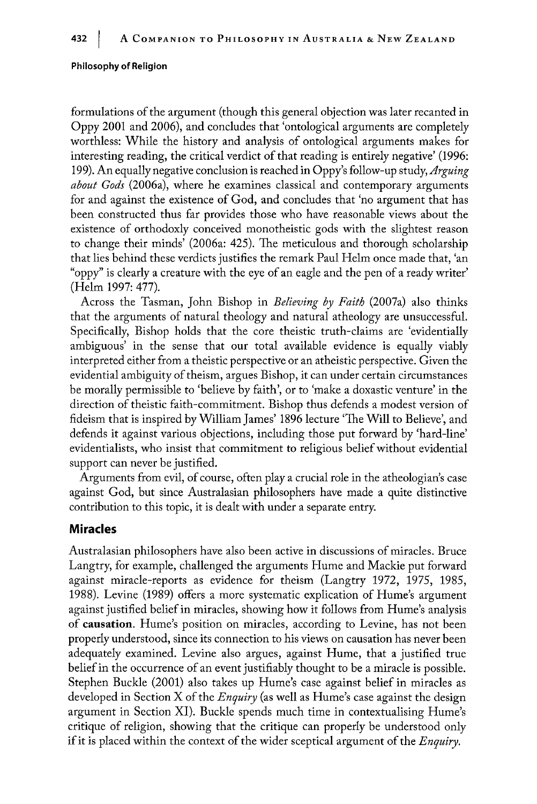formulations of the argument (though this general objection was later recanted in Oppy 2001 and 2006), and concludes that 'ontological arguments are completely worthless: While the history and analysis of ontological arguments makes for interesting reading, the critical verdict of that reading is entirely negative' (1996: 199). An equally negative conclusion is reached in Oppy's follow-up study, *Arguing about Gods* (2006a), where he examines classical and contemporary arguments for and against the existence of God, and concludes that 'no argument that has been constructed thus far provides those who have reasonable views about the existence of orthodoxly conceived monotheistic gods with the slightest reason to change their minds' (2006a: 425). The meticulous and thorough scholarship that lies behind these verdicts justifies the remark Paul Helm once made that, 'an "oppy" is clearly a creature with the eye of an eagle and the pen of a ready writer' (Helm 1997: 477).

Across the Tasman, John Bishop in *Believing by Faith* (2007a) also thinks that the arguments of natural theology and natural atheology are unsuccessful. Specifically, Bishop holds that the core theistic truth-claims are 'evidentially ambiguous' in the sense that our total available evidence is equally viably interpreted either from a theistic perspective or an atheistic perspective. Given the evidential ambiguity of theism, argues Bishop, it can under certain circumstances be morally permissible to 'believe by faith', or to 'make a doxastic venture' in the direction of theistic faith-commitment. Bishop thus defends a modest version of fideism that is inspired by William James' 1896 lecture 'The Will to Believe', and defends it against various objections, including those put forward by 'hard-line' evidentialists, who insist that commitment to religious belief without evidential support can never be justified.

Arguments from evil, of course, often play a crucial role in the atheologian's case against God, but since Australasian philosophers have made a quite distinctive contribution to this topic, it is dealt with under a separate entry.

### **Miracles**

Australasian philosophers have also been active in discussions of miracles. Bruce Langtry, for example, challenged the arguments Hume and Mackie put forward against miracle-reports as evidence for theism (Langtry 1972, 1975, 1985, 1988). Levine (1989) offers a more systematic explication of Hume's argument against justified belief in miracles, showing how it follows from Hume's analysis of **causation.** Hume's position on miracles, according to Levine, has not been properly understood, since its connection to his views on causation has never been adequately examined. Levine also argues, against Hume, that a justified true belief in the occurrence of an event justifiably thought to be a miracle is possible. Stephen Buckle (2001) also takes up Hume's case against belief in miracles as developed in Section X of the *Enquiry* (as well as Hume's case against the design argument in Section XI). Buckle spends much time in contextualising Hume's critique of religion, showing that the critique can properly be understood only if it is placed within the context of the wider sceptical argument of the *Enquiry.*